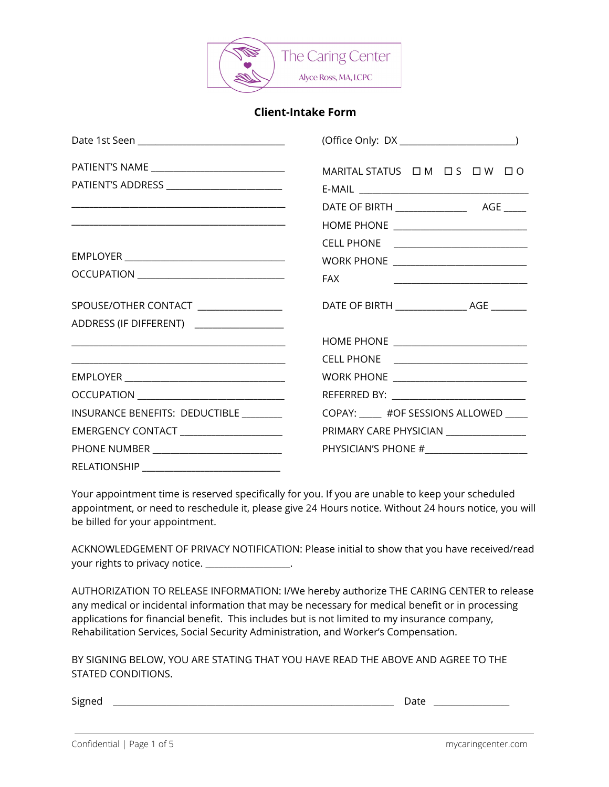

### **Client-Intake Form**

| PATIENT'S ADDRESS __________________________                                     | MARITAL STATUS OM OS OW OO                                 |
|----------------------------------------------------------------------------------|------------------------------------------------------------|
|                                                                                  |                                                            |
|                                                                                  | CELL PHONE <u>__________________________</u><br><b>FAX</b> |
| SPOUSE/OTHER CONTACT ________________<br>ADDRESS (IF DIFFERENT) ________________ |                                                            |
| <u> 1989 - Johann Stein, mars and de Brazilian (b. 1989)</u>                     |                                                            |
|                                                                                  |                                                            |
|                                                                                  |                                                            |
| INSURANCE BENEFITS: DEDUCTIBLE _______                                           | COPAY: _____ #OF SESSIONS ALLOWED ____                     |
| EMERGENCY CONTACT ______________________                                         | PRIMARY CARE PHYSICIAN _________________                   |
| PHONE NUMBER ____________________________                                        | PHYSICIAN'S PHONE #______________________                  |
| <b>RELATIONSHIP</b>                                                              |                                                            |

Your appointment time is reserved specifically for you. If you are unable to keep your scheduled appointment, or need to reschedule it, please give 24 Hours notice. Without 24 hours notice, you will be billed for your appointment.

ACKNOWLEDGEMENT OF PRIVACY NOTIFICATION: Please initial to show that you have received/read your rights to privacy notice. \_\_\_\_\_\_\_\_\_\_\_\_\_\_\_\_\_\_.

AUTHORIZATION TO RELEASE INFORMATION: I/We hereby authorize THE CARING CENTER to release any medical or incidental information that may be necessary for medical benefit or in processing applications for financial benefit. This includes but is not limited to my insurance company, Rehabilitation Services, Social Security Administration, and Worker's Compensation.

BY SIGNING BELOW, YOU ARE STATING THAT YOU HAVE READ THE ABOVE AND AGREE TO THE STATED CONDITIONS.

Signed \_\_\_\_\_\_\_\_\_\_\_\_\_\_\_\_\_\_\_\_\_\_\_\_\_\_\_\_\_\_\_\_\_\_\_\_\_\_\_\_\_\_\_\_\_\_\_\_\_\_\_\_\_\_\_\_\_\_\_\_\_\_\_ Date \_\_\_\_\_\_\_\_\_\_\_\_\_\_\_\_\_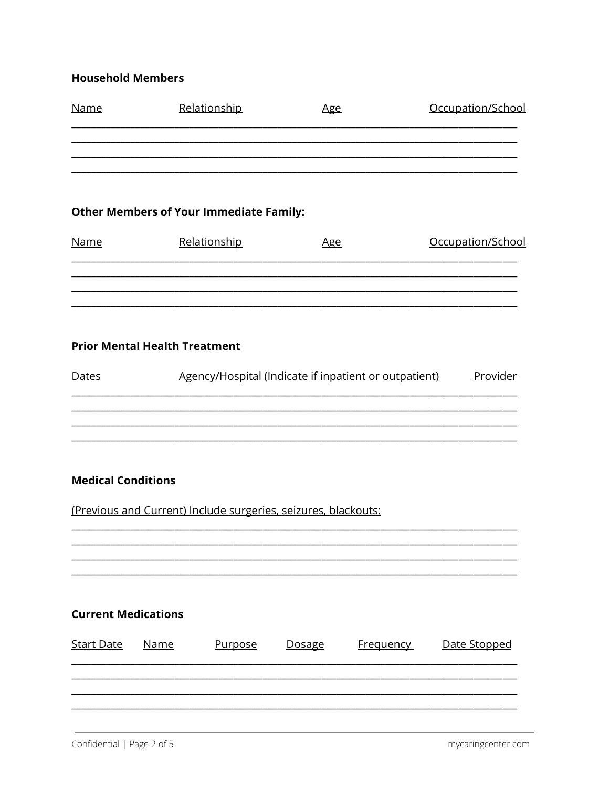## **Household Members**

| <b>Name</b> | Relationship | <u>Age</u> | Occupation/School |  |  |  |
|-------------|--------------|------------|-------------------|--|--|--|
|             |              |            |                   |  |  |  |
|             |              |            |                   |  |  |  |
|             |              |            |                   |  |  |  |

## **Other Members of Your Immediate Family:**

| <u>Name</u> | Relationship | <u>Age</u> | Occupation/School |  |  |
|-------------|--------------|------------|-------------------|--|--|
|             |              |            |                   |  |  |
|             |              |            |                   |  |  |
|             |              |            |                   |  |  |

# **Prior Mental Health Treatment**

| <b>Dates</b> | Agency/Hospital (Indicate if inpatient or outpatient) | Provider |
|--------------|-------------------------------------------------------|----------|
|              |                                                       |          |
|              |                                                       |          |

### **Medical Conditions**

(Previous and Current) Include surgeries, seizures, blackouts:

# **Current Medications**

| <b>Start Date</b> | Name<br><u>Purpose</u> |  | <u>Dosage</u> | <u>Frequency</u> | Date Stopped |  |  |
|-------------------|------------------------|--|---------------|------------------|--------------|--|--|
|                   |                        |  |               |                  |              |  |  |
|                   |                        |  |               |                  |              |  |  |
|                   |                        |  |               |                  |              |  |  |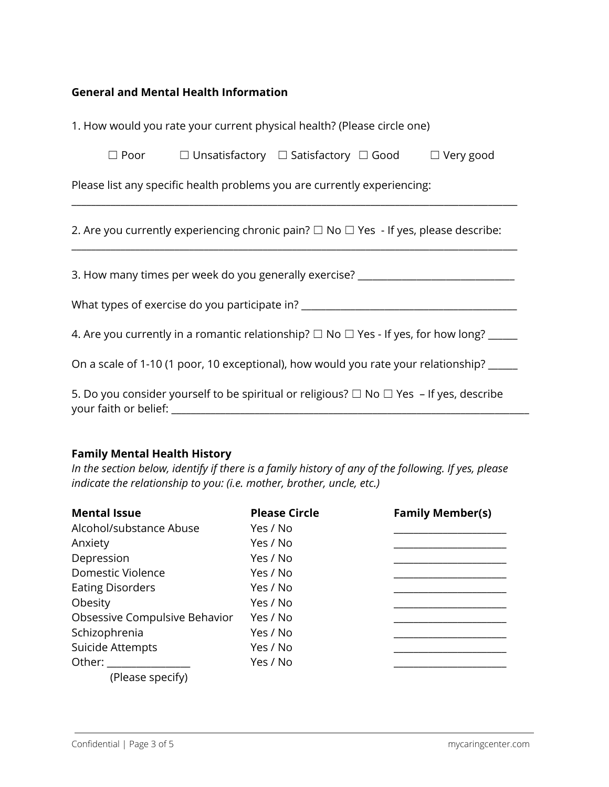### **General and Mental Health Information**

| 1. How would you rate your current physical health? (Please circle one)                             |  |  |  |  |  |  |  |
|-----------------------------------------------------------------------------------------------------|--|--|--|--|--|--|--|
| $\Box$ Unsatisfactory $\Box$ Satisfactory $\Box$ Good $\Box$ Very good<br>$\Box$ Poor               |  |  |  |  |  |  |  |
| Please list any specific health problems you are currently experiencing:                            |  |  |  |  |  |  |  |
| 2. Are you currently experiencing chronic pain? $\Box$ No $\Box$ Yes - If yes, please describe:     |  |  |  |  |  |  |  |
| 3. How many times per week do you generally exercise? __________________________                    |  |  |  |  |  |  |  |
| What types of exercise do you participate in? __________________________________                    |  |  |  |  |  |  |  |
| 4. Are you currently in a romantic relationship? $\Box$ No $\Box$ Yes - If yes, for how long? _____ |  |  |  |  |  |  |  |
| On a scale of 1-10 (1 poor, 10 exceptional), how would you rate your relationship? _____            |  |  |  |  |  |  |  |
| 5. Do you consider yourself to be spiritual or religious? $\Box$ No $\Box$ Yes - If yes, describe   |  |  |  |  |  |  |  |

## **Family Mental Health History**

In the section below, identify if there is a family history of any of the following. If yes, please *indicate the relationship to you: (i.e. mother, brother, uncle, etc.)*

| <b>Mental Issue</b>           | <b>Please Circle</b> | <b>Family Member(s)</b> |
|-------------------------------|----------------------|-------------------------|
| Alcohol/substance Abuse       | Yes / No             |                         |
| Anxiety                       | Yes / No             |                         |
| Depression                    | Yes / No             |                         |
| Domestic Violence             | Yes / No             |                         |
| <b>Eating Disorders</b>       | Yes / No             |                         |
| Obesity                       | Yes / No             |                         |
| Obsessive Compulsive Behavior | Yes / No             |                         |
| Schizophrenia                 | Yes / No             |                         |
| Suicide Attempts              | Yes / No             |                         |
| Other:                        | Yes / No             |                         |
| (Please specify)              |                      |                         |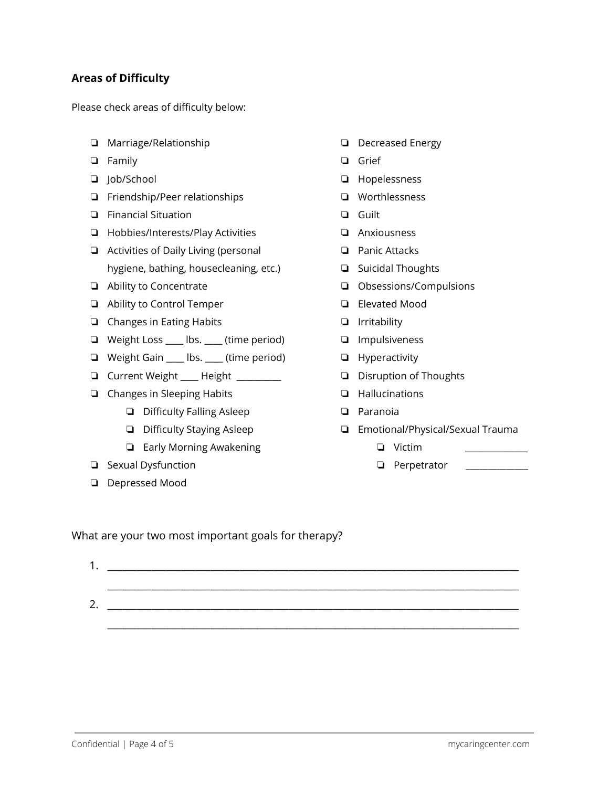## **Areas of Difficulty**

Please check areas of difficulty below:

- ❏ Marriage/Relationship
- ❏ Family
- ❏ Job/School
- ❏ Friendship/Peer relationships
- ❏ Financial Situation
- ❏ Hobbies/Interests/Play Activities
- ❏ Activities of Daily Living (personal hygiene, bathing, housecleaning, etc.)
- ❏ Ability to Concentrate
- ❏ Ability to Control Temper
- ❏ Changes in Eating Habits
- ❏ Weight Loss \_\_\_\_ lbs. \_\_\_\_ (time period)
- ❏ Weight Gain \_\_\_\_ lbs. \_\_\_\_ (time period)
- ❏ Current Weight \_\_\_\_ Height \_\_\_\_\_\_\_\_\_\_
- ❏ Changes in Sleeping Habits
	- ❏ Difficulty Falling Asleep
	- ❏ Difficulty Staying Asleep
	- ❏ Early Morning Awakening
- ❏ Sexual Dysfunction
- ❏ Depressed Mood
- ❏ Decreased Energy
- ❏ Grief
- ❏ Hopelessness
- ❏ Worthlessness
- ❏ Guilt
- ❏ Anxiousness
- ❏ Panic Attacks
- ❏ Suicidal Thoughts
- ❏ Obsessions/Compulsions
- ❏ Elevated Mood
- ❏ Irritability
- ❏ Impulsiveness
- ❏ Hyperactivity
- ❏ Disruption of Thoughts
- ❏ Hallucinations
- ❏ Paranoia
- ❏ Emotional/Physical/Sexual Trauma
	- ❏ Victim \_\_\_\_\_\_\_\_\_\_\_\_\_\_
	- ❏ Perpetrator \_\_\_\_\_\_\_\_\_\_\_\_\_\_

What are your two most important goals for therapy?

1. \_\_\_\_\_\_\_\_\_\_\_\_\_\_\_\_\_\_\_\_\_\_\_\_\_\_\_\_\_\_\_\_\_\_\_\_\_\_\_\_\_\_\_\_\_\_\_\_\_\_\_\_\_\_\_\_\_\_\_\_\_\_\_\_\_\_\_\_\_\_\_\_\_\_\_\_\_\_\_\_\_\_\_\_ \_\_\_\_\_\_\_\_\_\_\_\_\_\_\_\_\_\_\_\_\_\_\_\_\_\_\_\_\_\_\_\_\_\_\_\_\_\_\_\_\_\_\_\_\_\_\_\_\_\_\_\_\_\_\_\_\_\_\_\_\_\_\_\_\_\_\_\_\_\_\_\_\_\_\_\_\_\_\_\_\_\_\_\_ 2. \_\_\_\_\_\_\_\_\_\_\_\_\_\_\_\_\_\_\_\_\_\_\_\_\_\_\_\_\_\_\_\_\_\_\_\_\_\_\_\_\_\_\_\_\_\_\_\_\_\_\_\_\_\_\_\_\_\_\_\_\_\_\_\_\_\_\_\_\_\_\_\_\_\_\_\_\_\_\_\_\_\_\_\_

\_\_\_\_\_\_\_\_\_\_\_\_\_\_\_\_\_\_\_\_\_\_\_\_\_\_\_\_\_\_\_\_\_\_\_\_\_\_\_\_\_\_\_\_\_\_\_\_\_\_\_\_\_\_\_\_\_\_\_\_\_\_\_\_\_\_\_\_\_\_\_\_\_\_\_\_\_\_\_\_\_\_\_\_